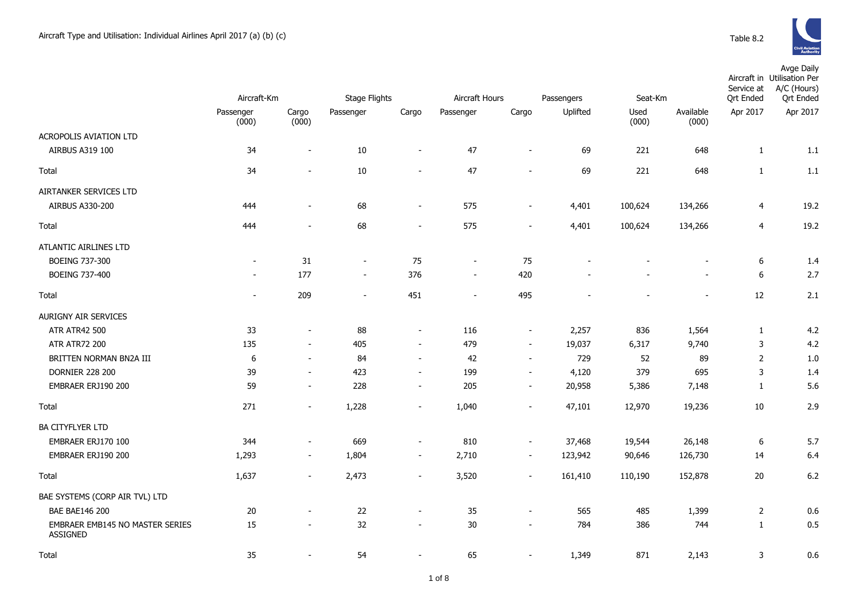

|                                             | Aircraft-Km    |                          | Stage Flights            |                          | Aircraft Hours<br>Passengers |                          |          | Seat-Km |           | Service at<br>Ort Ended | Avge Daily<br>Aircraft in Utilisation Per<br>A/C (Hours)<br><b>Qrt Ended</b> |
|---------------------------------------------|----------------|--------------------------|--------------------------|--------------------------|------------------------------|--------------------------|----------|---------|-----------|-------------------------|------------------------------------------------------------------------------|
|                                             | Passenger      | Cargo                    | Passenger                | Cargo                    | Passenger                    | Cargo                    | Uplifted | Used    | Available | Apr 2017                | Apr 2017                                                                     |
|                                             | (000)          | (000)                    |                          |                          |                              |                          |          | (000)   | (000)     |                         |                                                                              |
| ACROPOLIS AVIATION LTD                      |                |                          |                          |                          |                              |                          |          |         |           |                         |                                                                              |
| AIRBUS A319 100                             | 34             | $\overline{\phantom{a}}$ | $10\,$                   | $\blacksquare$           | 47                           | $\sim$                   | 69       | 221     | 648       | $\mathbf{1}$            | 1.1                                                                          |
| Total                                       | 34             | $\overline{a}$           | 10                       | $\overline{\phantom{a}}$ | 47                           |                          | 69       | 221     | 648       | $\mathbf{1}$            | 1.1                                                                          |
| AIRTANKER SERVICES LTD                      |                |                          |                          |                          |                              |                          |          |         |           |                         |                                                                              |
| <b>AIRBUS A330-200</b>                      | 444            | $\sim$                   | 68                       | $\overline{\phantom{a}}$ | 575                          | $\overline{\phantom{a}}$ | 4,401    | 100,624 | 134,266   | $\overline{4}$          | 19.2                                                                         |
| Total                                       | 444            | $\overline{\phantom{m}}$ | 68                       | $\overline{\phantom{a}}$ | 575                          | $\overline{\phantom{a}}$ | 4,401    | 100,624 | 134,266   | $\overline{4}$          | 19.2                                                                         |
| ATLANTIC AIRLINES LTD                       |                |                          |                          |                          |                              |                          |          |         |           |                         |                                                                              |
| <b>BOEING 737-300</b>                       | $\blacksquare$ | 31                       | $\blacksquare$           | 75                       | $\blacksquare$               | 75                       |          |         |           | $\boldsymbol{6}$        | 1.4                                                                          |
| BOEING 737-400                              | $\sim$         | 177                      | $\blacksquare$           | 376                      | $\overline{\phantom{a}}$     | 420                      |          |         |           | $\boldsymbol{6}$        | 2.7                                                                          |
| <b>Total</b>                                | $\blacksquare$ | 209                      | $\overline{\phantom{a}}$ | 451                      | $\overline{\phantom{a}}$     | 495                      |          |         | $\sim$    | 12                      | 2.1                                                                          |
| <b>AURIGNY AIR SERVICES</b>                 |                |                          |                          |                          |                              |                          |          |         |           |                         |                                                                              |
| <b>ATR ATR42 500</b>                        | 33             | $\blacksquare$           | 88                       | $\blacksquare$           | 116                          | $\overline{\phantom{a}}$ | 2,257    | 836     | 1,564     | $\mathbf{1}$            | 4.2                                                                          |
| <b>ATR ATR72 200</b>                        | 135            | $\blacksquare$           | 405                      | $\sim$                   | 479                          | $\sim$                   | 19,037   | 6,317   | 9,740     | 3                       | 4.2                                                                          |
| BRITTEN NORMAN BN2A III                     | 6              | $\sim$                   | 84                       | $\sim$                   | 42                           | $\sim$                   | 729      | 52      | 89        | $\overline{2}$          | 1.0                                                                          |
| <b>DORNIER 228 200</b>                      | 39             | $\overline{\phantom{a}}$ | 423                      | $\sim$                   | 199                          | $\overline{\phantom{a}}$ | 4,120    | 379     | 695       | 3                       | 1.4                                                                          |
| EMBRAER ERJ190 200                          | 59             | $\sim$                   | 228                      | $\sim$                   | 205                          | $\sim$                   | 20,958   | 5,386   | 7,148     | $\mathbf{1}$            | 5.6                                                                          |
| Total                                       | 271            | $\sim$                   | 1,228                    | $\overline{\phantom{a}}$ | 1,040                        | $\overline{\phantom{a}}$ | 47,101   | 12,970  | 19,236    | 10                      | 2.9                                                                          |
| <b>BA CITYFLYER LTD</b>                     |                |                          |                          |                          |                              |                          |          |         |           |                         |                                                                              |
| EMBRAER ERJ170 100                          | 344            | $\sim$                   | 669                      | $\overline{\phantom{a}}$ | 810                          | $\overline{\phantom{a}}$ | 37,468   | 19,544  | 26,148    | $\boldsymbol{6}$        | 5.7                                                                          |
| EMBRAER ERJ190 200                          | 1,293          | $\overline{\phantom{m}}$ | 1,804                    | $\overline{\phantom{a}}$ | 2,710                        | $\blacksquare$           | 123,942  | 90,646  | 126,730   | 14                      | 6.4                                                                          |
| Total                                       | 1,637          | $\blacksquare$           | 2,473                    | $\overline{\phantom{a}}$ | 3,520                        | $\sim$                   | 161,410  | 110,190 | 152,878   | $20\,$                  | 6.2                                                                          |
| BAE SYSTEMS (CORP AIR TVL) LTD              |                |                          |                          |                          |                              |                          |          |         |           |                         |                                                                              |
| <b>BAE BAE146 200</b>                       | 20             |                          | 22                       | $\blacksquare$           | 35                           | $\overline{\phantom{a}}$ | 565      | 485     | 1,399     | $\overline{2}$          | 0.6                                                                          |
| EMBRAER EMB145 NO MASTER SERIES<br>ASSIGNED | 15             | $\overline{\phantom{a}}$ | 32                       | $\overline{\phantom{a}}$ | 30                           |                          | 784      | 386     | 744       | $\mathbf{1}$            | 0.5                                                                          |
| Total                                       | 35             |                          | 54                       |                          | 65                           |                          | 1,349    | 871     | 2,143     | 3                       | 0.6                                                                          |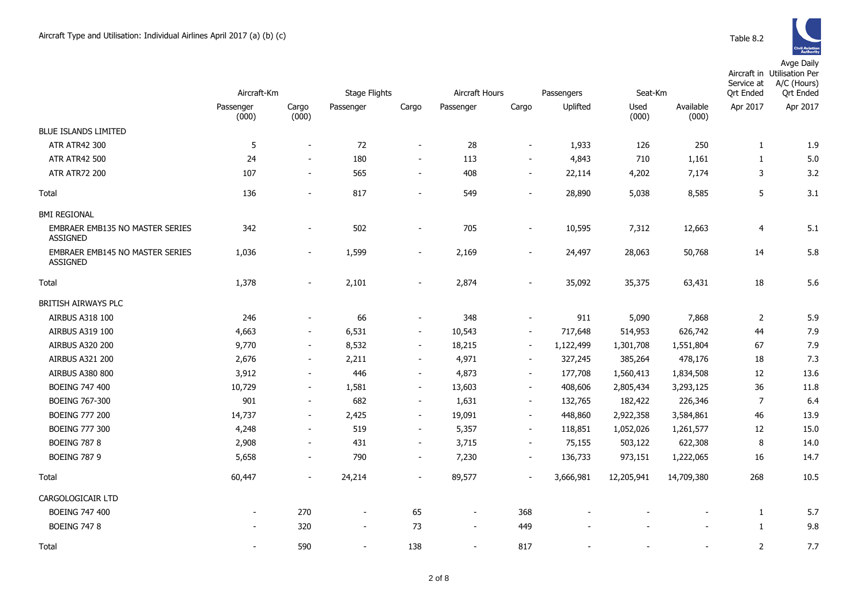

|                                                    | Aircraft-Km        |                          | <b>Stage Flights</b>     |                          | Aircraft Hours<br>Passengers |                          |           | Seat-Km       |                    | Service at<br><b>Ort Ended</b> | Aircraft in Utilisation Per<br>A/C (Hours)<br><b>Ort Ended</b> |
|----------------------------------------------------|--------------------|--------------------------|--------------------------|--------------------------|------------------------------|--------------------------|-----------|---------------|--------------------|--------------------------------|----------------------------------------------------------------|
|                                                    | Passenger<br>(000) | Cargo<br>(000)           | Passenger                | Cargo                    | Passenger                    | Cargo                    | Uplifted  | Used<br>(000) | Available<br>(000) | Apr 2017                       | Apr 2017                                                       |
| <b>BLUE ISLANDS LIMITED</b>                        |                    |                          |                          |                          |                              |                          |           |               |                    |                                |                                                                |
| ATR ATR42 300                                      | 5                  | $\sim$                   | 72                       | $\sim$                   | 28                           | $\sim$                   | 1,933     | 126           | 250                | 1                              | 1.9                                                            |
| <b>ATR ATR42 500</b>                               | 24                 | $\sim$                   | 180                      | $\sim$                   | 113                          | $\sim$                   | 4,843     | 710           | 1,161              | 1                              | 5.0                                                            |
| <b>ATR ATR72 200</b>                               | 107                | $\sim$                   | 565                      | $\sim$                   | 408                          | $\sim$                   | 22,114    | 4,202         | 7,174              | 3                              | 3.2                                                            |
| Total                                              | 136                | $\sim$                   | 817                      | $\sim$                   | 549                          | $\sim$                   | 28,890    | 5,038         | 8,585              | 5                              | 3.1                                                            |
| <b>BMI REGIONAL</b>                                |                    |                          |                          |                          |                              |                          |           |               |                    |                                |                                                                |
| EMBRAER EMB135 NO MASTER SERIES<br><b>ASSIGNED</b> | 342                |                          | 502                      |                          | 705                          | $\overline{\phantom{a}}$ | 10,595    | 7,312         | 12,663             | 4                              | 5.1                                                            |
| EMBRAER EMB145 NO MASTER SERIES<br><b>ASSIGNED</b> | 1,036              | $\overline{\phantom{a}}$ | 1,599                    |                          | 2,169                        | $\overline{\phantom{a}}$ | 24,497    | 28,063        | 50,768             | 14                             | 5.8                                                            |
| Total                                              | 1,378              | $\sim$                   | 2,101                    | $\blacksquare$           | 2,874                        | $\blacksquare$           | 35,092    | 35,375        | 63,431             | 18                             | 5.6                                                            |
| BRITISH AIRWAYS PLC                                |                    |                          |                          |                          |                              |                          |           |               |                    |                                |                                                                |
| AIRBUS A318 100                                    | 246                | $\overline{\phantom{a}}$ | 66                       | $\overline{\phantom{a}}$ | 348                          | $\blacksquare$           | 911       | 5,090         | 7,868              | $\overline{2}$                 | 5.9                                                            |
| AIRBUS A319 100                                    | 4,663              | $\overline{\phantom{a}}$ | 6,531                    | $\overline{\phantom{a}}$ | 10,543                       | $\overline{\phantom{a}}$ | 717,648   | 514,953       | 626,742            | 44                             | 7.9                                                            |
| AIRBUS A320 200                                    | 9,770              | $\overline{\phantom{a}}$ | 8,532                    | $\overline{\phantom{a}}$ | 18,215                       | $\overline{\phantom{a}}$ | 1,122,499 | 1,301,708     | 1,551,804          | 67                             | 7.9                                                            |
| <b>AIRBUS A321 200</b>                             | 2,676              | $\overline{\phantom{a}}$ | 2,211                    | $\overline{\phantom{a}}$ | 4,971                        | $\blacksquare$           | 327,245   | 385,264       | 478,176            | 18                             | 7.3                                                            |
| <b>AIRBUS A380 800</b>                             | 3,912              | $\overline{\phantom{a}}$ | 446                      | $\overline{\phantom{a}}$ | 4,873                        | $\overline{\phantom{a}}$ | 177,708   | 1,560,413     | 1,834,508          | 12                             | 13.6                                                           |
| <b>BOEING 747 400</b>                              | 10,729             | $\sim$                   | 1,581                    | $\sim$                   | 13,603                       | $\blacksquare$           | 408,606   | 2,805,434     | 3,293,125          | 36                             | 11.8                                                           |
| BOEING 767-300                                     | 901                | $\sim$                   | 682                      | $\overline{\phantom{a}}$ | 1,631                        | $\sim$                   | 132,765   | 182,422       | 226,346            | $\overline{7}$                 | 6.4                                                            |
| <b>BOEING 777 200</b>                              | 14,737             | $\overline{\phantom{a}}$ | 2,425                    | $\overline{\phantom{a}}$ | 19,091                       | $\overline{\phantom{a}}$ | 448,860   | 2,922,358     | 3,584,861          | 46                             | 13.9                                                           |
| <b>BOEING 777 300</b>                              | 4,248              | $\overline{\phantom{a}}$ | 519                      | $\overline{\phantom{a}}$ | 5,357                        | $\overline{\phantom{a}}$ | 118,851   | 1,052,026     | 1,261,577          | 12                             | 15.0                                                           |
| <b>BOEING 787 8</b>                                | 2,908              | $\overline{\phantom{a}}$ | 431                      | $\overline{\phantom{a}}$ | 3,715                        | $\overline{\phantom{a}}$ | 75,155    | 503,122       | 622,308            | 8                              | 14.0                                                           |
| <b>BOEING 787 9</b>                                | 5,658              | $\blacksquare$           | 790                      | $\overline{\phantom{a}}$ | 7,230                        | $\blacksquare$           | 136,733   | 973,151       | 1,222,065          | 16                             | 14.7                                                           |
| Total                                              | 60,447             | $\overline{\phantom{a}}$ | 24,214                   | $\overline{\phantom{a}}$ | 89,577                       | $\blacksquare$           | 3,666,981 | 12,205,941    | 14,709,380         | 268                            | 10.5                                                           |
| CARGOLOGICAIR LTD                                  |                    |                          |                          |                          |                              |                          |           |               |                    |                                |                                                                |
| BOEING 747 400                                     |                    | 270                      | $\overline{\phantom{a}}$ | 65                       |                              | 368                      |           |               |                    | 1                              | 5.7                                                            |
| <b>BOEING 747 8</b>                                |                    | 320                      | $\overline{\phantom{a}}$ | 73                       | $\overline{\phantom{a}}$     | 449                      |           |               |                    | 1                              | 9.8                                                            |
| Total                                              |                    | 590                      | $\overline{\phantom{a}}$ | 138                      | $\sim$                       | 817                      |           |               |                    | $\overline{2}$                 | 7.7                                                            |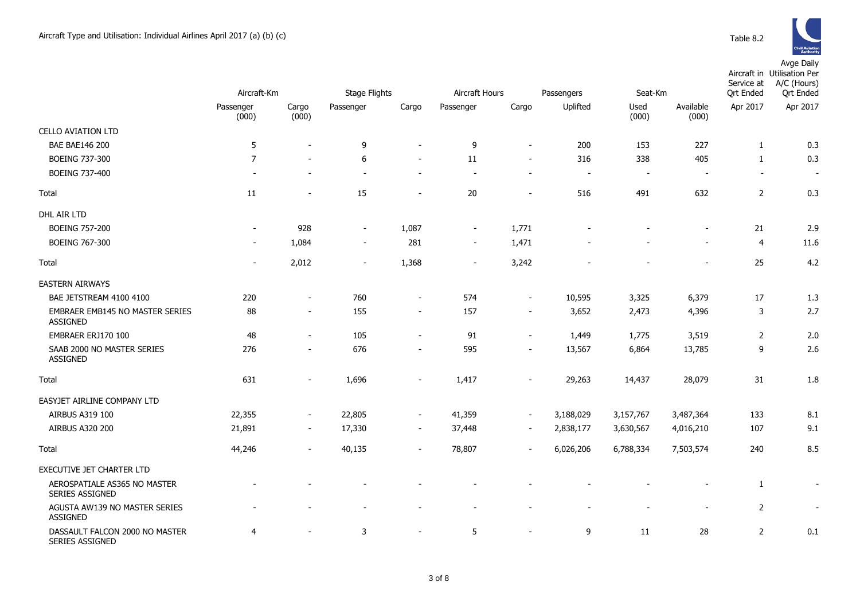

|                                                          | Aircraft-Km              |                          | <b>Stage Flights</b>     |                          | Aircraft Hours           |                          | Passengers               |                          | Seat-Km                  |                | Aircraft in Utilisation Per<br>A/C (Hours)<br><b>Qrt</b> Ended |
|----------------------------------------------------------|--------------------------|--------------------------|--------------------------|--------------------------|--------------------------|--------------------------|--------------------------|--------------------------|--------------------------|----------------|----------------------------------------------------------------|
|                                                          | Passenger<br>(000)       | Cargo<br>(000)           | Passenger                | Cargo                    | Passenger                | Cargo                    | Uplifted                 | Used<br>(000)            | Available<br>(000)       | Apr 2017       | Apr 2017                                                       |
| <b>CELLO AVIATION LTD</b>                                |                          |                          |                          |                          |                          |                          |                          |                          |                          |                |                                                                |
| <b>BAE BAE146 200</b>                                    | 5                        | $\overline{\phantom{a}}$ | 9                        |                          | 9                        | $\blacksquare$           | 200                      | 153                      | 227                      | 1              | 0.3                                                            |
| BOEING 737-300                                           | $\overline{7}$           | $\sim$                   | 6                        | $\blacksquare$           | 11                       | $\blacksquare$           | 316                      | 338                      | 405                      | $\mathbf{1}$   | 0.3                                                            |
| BOEING 737-400                                           |                          |                          |                          | $\overline{\phantom{a}}$ | ÷                        | $\overline{\phantom{a}}$ | $\overline{\phantom{a}}$ | $\overline{\phantom{a}}$ | $\overline{\phantom{a}}$ | $\blacksquare$ | $\blacksquare$                                                 |
| Total                                                    | 11                       |                          | 15                       |                          | 20                       | $\overline{\phantom{a}}$ | 516                      | 491                      | 632                      | $\overline{2}$ | 0.3                                                            |
| DHL AIR LTD                                              |                          |                          |                          |                          |                          |                          |                          |                          |                          |                |                                                                |
| <b>BOEING 757-200</b>                                    | $\overline{\phantom{a}}$ | 928                      | $\overline{\phantom{a}}$ | 1,087                    | $\overline{\phantom{a}}$ | 1,771                    |                          |                          |                          | 21             | 2.9                                                            |
| <b>BOEING 767-300</b>                                    |                          | 1,084                    | $\overline{\phantom{a}}$ | 281                      | $\overline{\phantom{a}}$ | 1,471                    |                          |                          |                          | $\overline{4}$ | 11.6                                                           |
| Total                                                    |                          | 2,012                    | $\overline{\phantom{a}}$ | 1,368                    | $\overline{\phantom{a}}$ | 3,242                    |                          |                          |                          | 25             | 4.2                                                            |
| <b>EASTERN AIRWAYS</b>                                   |                          |                          |                          |                          |                          |                          |                          |                          |                          |                |                                                                |
| BAE JETSTREAM 4100 4100                                  | 220                      | $\sim$                   | 760                      | $\overline{\phantom{a}}$ | 574                      | $\overline{\phantom{a}}$ | 10,595                   | 3,325                    | 6,379                    | 17             | 1.3                                                            |
| EMBRAER EMB145 NO MASTER SERIES<br><b>ASSIGNED</b>       | 88                       | $\overline{\phantom{a}}$ | 155                      | $\sim$                   | 157                      | $\sim$                   | 3,652                    | 2,473                    | 4,396                    | 3              | 2.7                                                            |
| EMBRAER ERJ170 100                                       | 48                       | $\sim$                   | 105                      | $\blacksquare$           | 91                       | $\overline{\phantom{a}}$ | 1,449                    | 1,775                    | 3,519                    | $\overline{2}$ | 2.0                                                            |
| SAAB 2000 NO MASTER SERIES<br><b>ASSIGNED</b>            | 276                      | $\overline{\phantom{a}}$ | 676                      | $\blacksquare$           | 595                      | $\overline{\phantom{a}}$ | 13,567                   | 6,864                    | 13,785                   | 9              | 2.6                                                            |
| Total                                                    | 631                      | $\overline{\phantom{a}}$ | 1,696                    | $\overline{\phantom{a}}$ | 1,417                    | $\overline{\phantom{a}}$ | 29,263                   | 14,437                   | 28,079                   | 31             | 1.8                                                            |
| EASYJET AIRLINE COMPANY LTD                              |                          |                          |                          |                          |                          |                          |                          |                          |                          |                |                                                                |
| AIRBUS A319 100                                          | 22,355                   | $\overline{\phantom{a}}$ | 22,805                   | $\overline{\phantom{a}}$ | 41,359                   | $\overline{\phantom{a}}$ | 3,188,029                | 3,157,767                | 3,487,364                | 133            | 8.1                                                            |
| <b>AIRBUS A320 200</b>                                   | 21,891                   | $\sim$                   | 17,330                   | $\overline{\phantom{a}}$ | 37,448                   | $\overline{\phantom{a}}$ | 2,838,177                | 3,630,567                | 4,016,210                | 107            | 9.1                                                            |
| Total                                                    | 44,246                   | $\overline{\phantom{a}}$ | 40,135                   | $\overline{\phantom{a}}$ | 78,807                   | $\overline{\phantom{a}}$ | 6,026,206                | 6,788,334                | 7,503,574                | 240            | 8.5                                                            |
| EXECUTIVE JET CHARTER LTD                                |                          |                          |                          |                          |                          |                          |                          |                          |                          |                |                                                                |
| AEROSPATIALE AS365 NO MASTER<br>SERIES ASSIGNED          |                          |                          |                          |                          |                          |                          |                          |                          |                          | 1              | $\overline{\phantom{a}}$                                       |
| AGUSTA AW139 NO MASTER SERIES<br><b>ASSIGNED</b>         |                          |                          |                          |                          |                          |                          |                          | $\overline{\phantom{a}}$ |                          | $\overline{2}$ | $\overline{\phantom{a}}$                                       |
| DASSAULT FALCON 2000 NO MASTER<br><b>SERIES ASSIGNED</b> | 4                        |                          | 3                        |                          | 5                        | $\overline{\phantom{a}}$ | 9                        | 11                       | 28                       | $\overline{2}$ | 0.1                                                            |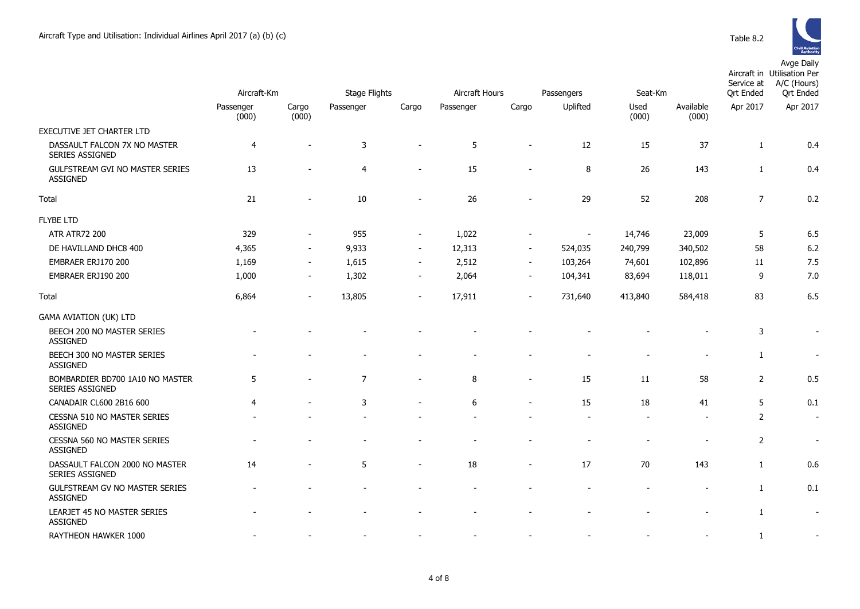

|                                                        | Aircraft-Km    |                          | Stage Flights  |                          | Aircraft Hours<br>Passengers |                          |          | Seat-Km |           | Service at<br><b>Qrt Ended</b> | Aircraft in Utilisation Per<br>A/C (Hours)<br><b>Qrt Ended</b> |
|--------------------------------------------------------|----------------|--------------------------|----------------|--------------------------|------------------------------|--------------------------|----------|---------|-----------|--------------------------------|----------------------------------------------------------------|
|                                                        | Passenger      | Cargo                    | Passenger      | Cargo                    | Passenger                    | Cargo                    | Uplifted | Used    | Available | Apr 2017                       | Apr 2017                                                       |
|                                                        | (000)          | (000)                    |                |                          |                              |                          |          | (000)   | (000)     |                                |                                                                |
| EXECUTIVE JET CHARTER LTD                              |                |                          |                |                          |                              |                          |          |         |           |                                |                                                                |
| DASSAULT FALCON 7X NO MASTER<br><b>SERIES ASSIGNED</b> | 4              |                          | 3              |                          | 5                            |                          | 12       | 15      | 37        | $\mathbf{1}$                   | 0.4                                                            |
| GULFSTREAM GVI NO MASTER SERIES<br><b>ASSIGNED</b>     | 13             |                          | 4              |                          | 15                           |                          | 8        | 26      | 143       | $\mathbf{1}$                   | 0.4                                                            |
| Total                                                  | 21             | $\blacksquare$           | 10             | $\overline{\phantom{a}}$ | 26                           | $\blacksquare$           | 29       | 52      | 208       | $\overline{7}$                 | 0.2                                                            |
| <b>FLYBE LTD</b>                                       |                |                          |                |                          |                              |                          |          |         |           |                                |                                                                |
| <b>ATR ATR72 200</b>                                   | 329            |                          | 955            | $\overline{\phantom{a}}$ | 1,022                        |                          |          | 14,746  | 23,009    | 5                              | 6.5                                                            |
| DE HAVILLAND DHC8 400                                  | 4,365          | $\overline{\phantom{a}}$ | 9,933          | $\overline{\phantom{a}}$ | 12,313                       | $\overline{\phantom{a}}$ | 524,035  | 240,799 | 340,502   | 58                             | 6.2                                                            |
| EMBRAER ERJ170 200                                     | 1,169          | $\overline{\phantom{a}}$ | 1,615          | $\sim$                   | 2,512                        | $\sim$                   | 103,264  | 74,601  | 102,896   | 11                             | 7.5                                                            |
| EMBRAER ERJ190 200                                     | 1,000          | $\overline{\phantom{a}}$ | 1,302          | $\overline{\phantom{a}}$ | 2,064                        | $\overline{\phantom{a}}$ | 104,341  | 83,694  | 118,011   | 9                              | 7.0                                                            |
| Total                                                  | 6,864          | $\blacksquare$           | 13,805         | $\overline{\phantom{a}}$ | 17,911                       | $\overline{a}$           | 731,640  | 413,840 | 584,418   | 83                             | 6.5                                                            |
| <b>GAMA AVIATION (UK) LTD</b>                          |                |                          |                |                          |                              |                          |          |         |           |                                |                                                                |
| BEECH 200 NO MASTER SERIES<br><b>ASSIGNED</b>          |                |                          |                |                          |                              |                          |          |         |           | 3                              | $\sim$                                                         |
| BEECH 300 NO MASTER SERIES<br><b>ASSIGNED</b>          |                |                          |                |                          |                              |                          |          |         |           | $\mathbf{1}$                   | $\overline{\phantom{a}}$                                       |
| BOMBARDIER BD700 1A10 NO MASTER<br>SERIES ASSIGNED     | 5              |                          | $\overline{7}$ | $\overline{a}$           | 8                            | $\overline{a}$           | 15       | 11      | 58        | 2                              | 0.5                                                            |
| CANADAIR CL600 2B16 600                                | $\overline{4}$ |                          | 3              |                          | 6                            |                          | 15       | 18      | 41        | 5                              | 0.1                                                            |
| CESSNA 510 NO MASTER SERIES<br><b>ASSIGNED</b>         |                |                          |                |                          |                              |                          |          |         |           | $\overline{2}$                 | $\sim$                                                         |
| CESSNA 560 NO MASTER SERIES<br><b>ASSIGNED</b>         |                |                          |                |                          |                              |                          |          |         |           | 2                              |                                                                |
| DASSAULT FALCON 2000 NO MASTER<br>SERIES ASSIGNED      | 14             | $\blacksquare$           | 5              | $\overline{\phantom{a}}$ | 18                           | $\overline{\phantom{a}}$ | 17       | 70      | 143       | $\mathbf{1}$                   | 0.6                                                            |
| GULFSTREAM GV NO MASTER SERIES<br><b>ASSIGNED</b>      |                |                          |                |                          |                              |                          |          |         |           | $\mathbf{1}$                   | 0.1                                                            |
| LEARJET 45 NO MASTER SERIES<br><b>ASSIGNED</b>         |                |                          |                |                          |                              |                          |          |         |           | $\mathbf{1}$                   | $\overline{\phantom{a}}$                                       |
| RAYTHEON HAWKER 1000                                   |                |                          |                |                          |                              |                          |          |         |           | $\mathbf{1}$                   |                                                                |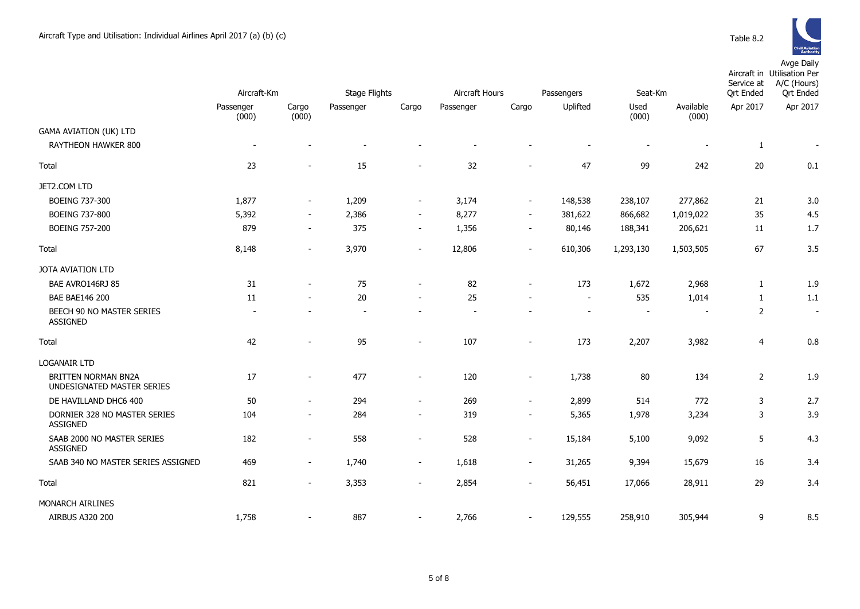

|                                                             | Aircraft-Km        |                          | <b>Stage Flights</b>     |                          | Aircraft Hours           |                          |                          | Seat-Km       |                          | Service at<br><b>Qrt Ended</b> | Aircraft in Utilisation Per<br>A/C (Hours)<br><b>Qrt Ended</b> |
|-------------------------------------------------------------|--------------------|--------------------------|--------------------------|--------------------------|--------------------------|--------------------------|--------------------------|---------------|--------------------------|--------------------------------|----------------------------------------------------------------|
|                                                             |                    |                          |                          |                          |                          |                          | Passengers               |               |                          |                                |                                                                |
|                                                             | Passenger<br>(000) | Cargo<br>(000)           | Passenger                | Cargo                    | Passenger                | Cargo                    | Uplifted                 | Used<br>(000) | Available<br>(000)       | Apr 2017                       | Apr 2017                                                       |
| <b>GAMA AVIATION (UK) LTD</b><br><b>RAYTHEON HAWKER 800</b> | $\blacksquare$     |                          |                          |                          |                          |                          |                          | $\sim$        |                          | 1                              | $\overline{\phantom{a}}$                                       |
| Total                                                       | 23                 | $\blacksquare$           | 15                       | $\blacksquare$           | 32                       | $\blacksquare$           | 47                       | 99            | 242                      | 20                             | 0.1                                                            |
| JET2.COM LTD                                                |                    |                          |                          |                          |                          |                          |                          |               |                          |                                |                                                                |
| BOEING 737-300                                              | 1,877              | $\blacksquare$           | 1,209                    | $\overline{\phantom{a}}$ | 3,174                    | $\blacksquare$           | 148,538                  | 238,107       | 277,862                  | 21                             | 3.0                                                            |
| <b>BOEING 737-800</b>                                       | 5,392              | $\sim$                   | 2,386                    | $\overline{\phantom{a}}$ | 8,277                    | $\sim$                   | 381,622                  | 866,682       | 1,019,022                | 35                             | 4.5                                                            |
| <b>BOEING 757-200</b>                                       | 879                | $\overline{\phantom{a}}$ | 375                      | $\overline{\phantom{a}}$ | 1,356                    | $\sim$                   | 80,146                   | 188,341       | 206,621                  | 11                             | 1.7                                                            |
| Total                                                       | 8,148              | $\overline{\phantom{a}}$ | 3,970                    | $\overline{\phantom{a}}$ | 12,806                   | $\blacksquare$           | 610,306                  | 1,293,130     | 1,503,505                | 67                             | 3.5                                                            |
| JOTA AVIATION LTD                                           |                    |                          |                          |                          |                          |                          |                          |               |                          |                                |                                                                |
| BAE AVRO146RJ 85                                            | 31                 | $\overline{a}$           | 75                       | $\overline{\phantom{a}}$ | 82                       | $\blacksquare$           | 173                      | 1,672         | 2,968                    | 1                              | 1.9                                                            |
| <b>BAE BAE146 200</b>                                       | 11                 | $\overline{a}$           | 20                       | $\blacksquare$           | 25                       |                          | $\overline{\phantom{a}}$ | 535           | 1,014                    | $\mathbf{1}$                   | 1.1                                                            |
| BEECH 90 NO MASTER SERIES<br>ASSIGNED                       |                    |                          | $\overline{\phantom{a}}$ | $\overline{\phantom{a}}$ | $\overline{\phantom{a}}$ |                          |                          |               | $\overline{\phantom{a}}$ | 2                              | $\overline{\phantom{a}}$                                       |
| Total                                                       | 42                 | $\blacksquare$           | 95                       | $\blacksquare$           | 107                      | $\blacksquare$           | 173                      | 2,207         | 3,982                    | $\overline{4}$                 | 0.8                                                            |
| <b>LOGANAIR LTD</b>                                         |                    |                          |                          |                          |                          |                          |                          |               |                          |                                |                                                                |
| <b>BRITTEN NORMAN BN2A</b><br>UNDESIGNATED MASTER SERIES    | 17                 | $\overline{\phantom{a}}$ | 477                      | $\overline{\phantom{a}}$ | 120                      | $\overline{\phantom{a}}$ | 1,738                    | 80            | 134                      | $\overline{2}$                 | 1.9                                                            |
| DE HAVILLAND DHC6 400                                       | 50                 | $\blacksquare$           | 294                      | $\overline{\phantom{a}}$ | 269                      | $\blacksquare$           | 2,899                    | 514           | 772                      | 3                              | 2.7                                                            |
| DORNIER 328 NO MASTER SERIES<br><b>ASSIGNED</b>             | 104                | $\overline{\phantom{a}}$ | 284                      | $\overline{\phantom{a}}$ | 319                      | $\sim$                   | 5,365                    | 1,978         | 3,234                    | 3                              | 3.9                                                            |
| SAAB 2000 NO MASTER SERIES<br><b>ASSIGNED</b>               | 182                | $\overline{\phantom{a}}$ | 558                      | $\overline{\phantom{a}}$ | 528                      | $\overline{\phantom{a}}$ | 15,184                   | 5,100         | 9,092                    | 5                              | 4.3                                                            |
| SAAB 340 NO MASTER SERIES ASSIGNED                          | 469                | $\overline{\phantom{a}}$ | 1,740                    | $\overline{\phantom{a}}$ | 1,618                    | $\overline{\phantom{a}}$ | 31,265                   | 9,394         | 15,679                   | 16                             | 3.4                                                            |
| Total                                                       | 821                | $\overline{\phantom{a}}$ | 3,353                    | $\overline{\phantom{a}}$ | 2,854                    | $\overline{\phantom{0}}$ | 56,451                   | 17,066        | 28,911                   | 29                             | 3.4                                                            |
| MONARCH AIRLINES                                            |                    |                          |                          |                          |                          |                          |                          |               |                          |                                |                                                                |
| AIRBUS A320 200                                             | 1,758              |                          | 887                      |                          | 2,766                    | $\overline{\phantom{a}}$ | 129,555                  | 258,910       | 305,944                  | 9                              | 8.5                                                            |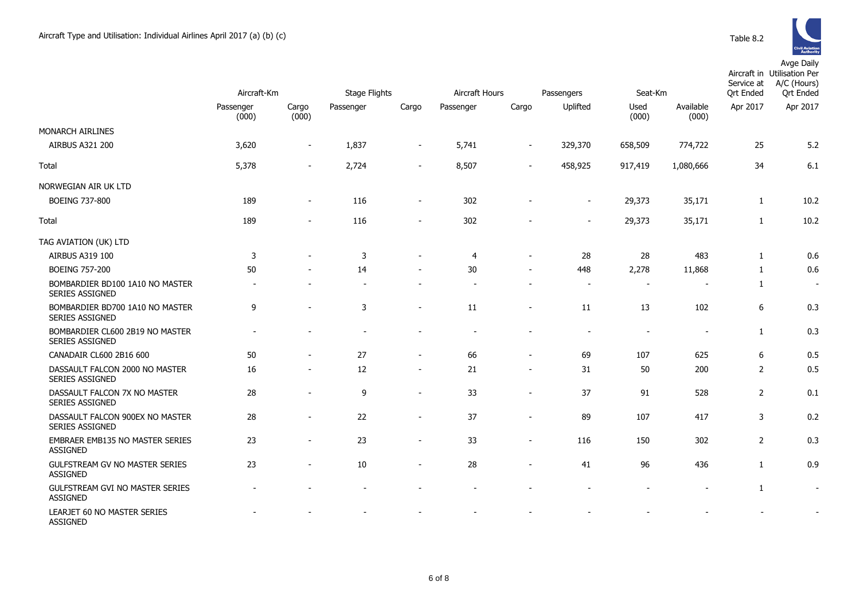

|                                                           | Aircraft-Km        |                          | <b>Stage Flights</b> |                          | Aircraft Hours<br>Passengers |                          |                          | Seat-Km       |                              | Service at<br><b>Qrt Ended</b> | Aircraft in Utilisation Per<br>A/C (Hours)<br><b>Qrt Ended</b> |
|-----------------------------------------------------------|--------------------|--------------------------|----------------------|--------------------------|------------------------------|--------------------------|--------------------------|---------------|------------------------------|--------------------------------|----------------------------------------------------------------|
|                                                           | Passenger<br>(000) | Cargo<br>(000)           | Passenger            | Cargo                    | Passenger                    | Cargo                    | Uplifted                 | Used<br>(000) | Available<br>(000)           | Apr 2017                       | Apr 2017                                                       |
| MONARCH AIRLINES                                          |                    |                          |                      |                          |                              |                          |                          |               |                              |                                |                                                                |
| AIRBUS A321 200                                           | 3,620              | $\overline{\phantom{a}}$ | 1,837                | $\overline{\phantom{a}}$ | 5,741                        | $\overline{\phantom{a}}$ | 329,370                  | 658,509       | 774,722                      | 25                             | 5.2                                                            |
| Total                                                     | 5,378              | $\sim$                   | 2,724                |                          | 8,507                        |                          | 458,925                  | 917,419       | 1,080,666                    | 34                             | 6.1                                                            |
| NORWEGIAN AIR UK LTD                                      |                    |                          |                      |                          |                              |                          |                          |               |                              |                                |                                                                |
| <b>BOEING 737-800</b>                                     | 189                | $\overline{\phantom{a}}$ | 116                  | $\overline{\phantom{a}}$ | 302                          |                          | $\blacksquare$           | 29,373        | 35,171                       | $\mathbf{1}$                   | 10.2                                                           |
| Total                                                     | 189                | $\overline{\phantom{a}}$ | 116                  | $\blacksquare$           | 302                          |                          | $\overline{\phantom{a}}$ | 29,373        | 35,171                       | $\mathbf{1}$                   | 10.2                                                           |
| TAG AVIATION (UK) LTD                                     |                    |                          |                      |                          |                              |                          |                          |               |                              |                                |                                                                |
| AIRBUS A319 100                                           | 3                  |                          | 3                    |                          | $\overline{4}$               | $\overline{\phantom{a}}$ | 28                       | 28            | 483                          | 1                              | 0.6                                                            |
| <b>BOEING 757-200</b>                                     | 50                 |                          | 14                   |                          | 30                           | $\overline{\phantom{a}}$ | 448                      | 2,278         | 11,868                       | 1                              | 0.6                                                            |
| BOMBARDIER BD100 1A10 NO MASTER<br>SERIES ASSIGNED        |                    |                          |                      |                          |                              |                          | $\overline{\phantom{a}}$ |               |                              | 1                              | $\sim$                                                         |
| BOMBARDIER BD700 1A10 NO MASTER<br><b>SERIES ASSIGNED</b> | 9                  |                          | 3                    |                          | 11                           |                          | 11                       | 13            | 102                          | $\boldsymbol{6}$               | 0.3                                                            |
| BOMBARDIER CL600 2B19 NO MASTER<br><b>SERIES ASSIGNED</b> |                    |                          |                      | $\sim$                   |                              |                          | $\overline{\phantom{a}}$ | $\sim$        | $\blacksquare$               | $\mathbf{1}$                   | 0.3                                                            |
| CANADAIR CL600 2B16 600                                   | 50                 | $\overline{\phantom{a}}$ | 27                   | $\overline{\phantom{a}}$ | 66                           | $\overline{\phantom{a}}$ | 69                       | 107           | 625                          | 6                              | 0.5                                                            |
| DASSAULT FALCON 2000 NO MASTER<br>SERIES ASSIGNED         | 16                 |                          | 12                   |                          | 21                           |                          | 31                       | 50            | 200                          | $\overline{2}$                 | 0.5                                                            |
| DASSAULT FALCON 7X NO MASTER<br>SERIES ASSIGNED           | 28                 |                          | 9                    | $\overline{\phantom{a}}$ | 33                           | $\overline{\phantom{a}}$ | 37                       | 91            | 528                          | $\overline{2}$                 | 0.1                                                            |
| DASSAULT FALCON 900EX NO MASTER<br><b>SERIES ASSIGNED</b> | 28                 |                          | 22                   | $\sim$                   | 37                           | $\overline{\phantom{a}}$ | 89                       | 107           | 417                          | 3                              | 0.2                                                            |
| EMBRAER EMB135 NO MASTER SERIES<br><b>ASSIGNED</b>        | 23                 | $\sim$                   | 23                   | $\overline{\phantom{a}}$ | 33                           | $\overline{\phantom{a}}$ | 116                      | 150           | 302                          | $\overline{2}$                 | 0.3                                                            |
| GULFSTREAM GV NO MASTER SERIES<br><b>ASSIGNED</b>         | 23                 |                          | 10                   | $\overline{\phantom{a}}$ | 28                           | $\sim$                   | 41                       | 96            | 436                          | 1                              | 0.9                                                            |
| GULFSTREAM GVI NO MASTER SERIES<br><b>ASSIGNED</b>        |                    |                          |                      |                          |                              |                          |                          |               | $\qquad \qquad \blacksquare$ | 1                              | $\blacksquare$                                                 |
| LEARJET 60 NO MASTER SERIES<br><b>ASSIGNED</b>            |                    |                          |                      |                          |                              |                          |                          |               |                              |                                | $\overline{\phantom{0}}$                                       |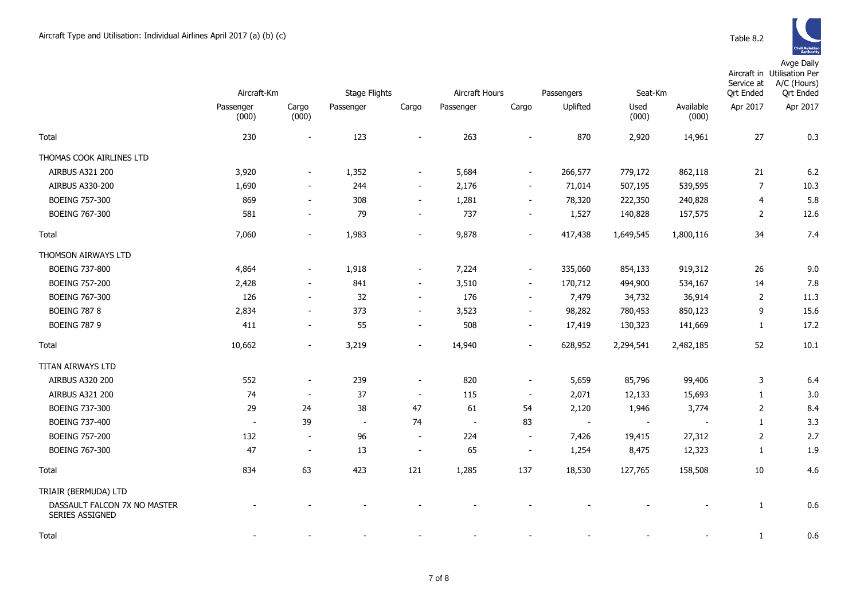

|                                                        |                          |                          |                          |                          |                          |                          |            |                |                    | Service at       | Aircraft in Utilisation Per<br>A/C (Hours) |
|--------------------------------------------------------|--------------------------|--------------------------|--------------------------|--------------------------|--------------------------|--------------------------|------------|----------------|--------------------|------------------|--------------------------------------------|
|                                                        | Aircraft-Km              |                          | Stage Flights            |                          | Aircraft Hours           |                          | Passengers | Seat-Km        |                    | <b>Qrt Ended</b> | <b>Qrt Ended</b>                           |
|                                                        | Passenger<br>(000)       | Cargo<br>(000)           | Passenger                | Cargo                    | Passenger                | Cargo                    | Uplifted   | Used<br>(000)  | Available<br>(000) | Apr 2017         | Apr 2017                                   |
| Total                                                  | 230                      | $\overline{\phantom{a}}$ | 123                      |                          | 263                      |                          | 870        | 2,920          | 14,961             | 27               | 0.3                                        |
| THOMAS COOK AIRLINES LTD                               |                          |                          |                          |                          |                          |                          |            |                |                    |                  |                                            |
| <b>AIRBUS A321 200</b>                                 | 3,920                    | $\overline{\phantom{a}}$ | 1,352                    | $\sim$                   | 5,684                    | $\overline{\phantom{a}}$ | 266,577    | 779,172        | 862,118            | 21               | 6.2                                        |
| AIRBUS A330-200                                        | 1,690                    | $\sim$                   | 244                      | $\blacksquare$           | 2,176                    | $\sim$                   | 71,014     | 507,195        | 539,595            | $\overline{7}$   | 10.3                                       |
| <b>BOEING 757-300</b>                                  | 869                      | $\overline{\phantom{a}}$ | 308                      | $\overline{\phantom{a}}$ | 1,281                    | $\blacksquare$           | 78,320     | 222,350        | 240,828            | $\overline{4}$   | 5.8                                        |
| <b>BOEING 767-300</b>                                  | 581                      | $\overline{\phantom{a}}$ | 79                       | $\overline{\phantom{a}}$ | 737                      | $\sim$                   | 1,527      | 140,828        | 157,575            | $\overline{2}$   | 12.6                                       |
| Total                                                  | 7,060                    | $\overline{\phantom{a}}$ | 1,983                    | $\overline{\phantom{a}}$ | 9,878                    | $\overline{\phantom{a}}$ | 417,438    | 1,649,545      | 1,800,116          | 34               | 7.4                                        |
| THOMSON AIRWAYS LTD                                    |                          |                          |                          |                          |                          |                          |            |                |                    |                  |                                            |
| <b>BOEING 737-800</b>                                  | 4,864                    | $\overline{\phantom{a}}$ | 1,918                    | $\overline{\phantom{a}}$ | 7,224                    | $\sim$                   | 335,060    | 854,133        | 919,312            | 26               | 9.0                                        |
| <b>BOEING 757-200</b>                                  | 2,428                    | $\overline{\phantom{a}}$ | 841                      | $\blacksquare$           | 3,510                    | $\sim$                   | 170,712    | 494,900        | 534,167            | 14               | 7.8                                        |
| <b>BOEING 767-300</b>                                  | 126                      | $\overline{\phantom{a}}$ | 32                       | $\sim$                   | 176                      | $\overline{\phantom{a}}$ | 7,479      | 34,732         | 36,914             | $\overline{2}$   | 11.3                                       |
| <b>BOEING 787 8</b>                                    | 2,834                    | $\overline{\phantom{a}}$ | 373                      | $\overline{\phantom{a}}$ | 3,523                    | $\blacksquare$           | 98,282     | 780,453        | 850,123            | 9                | 15.6                                       |
| <b>BOEING 787 9</b>                                    | 411                      | $\overline{\phantom{a}}$ | 55                       | $\overline{\phantom{a}}$ | 508                      | $\overline{\phantom{a}}$ | 17,419     | 130,323        | 141,669            | 1                | 17.2                                       |
| Total                                                  | 10,662                   | $\blacksquare$           | 3,219                    | $\overline{\phantom{a}}$ | 14,940                   |                          | 628,952    | 2,294,541      | 2,482,185          | 52               | 10.1                                       |
| TITAN AIRWAYS LTD                                      |                          |                          |                          |                          |                          |                          |            |                |                    |                  |                                            |
| AIRBUS A320 200                                        | 552                      | $\overline{\phantom{a}}$ | 239                      | $\overline{\phantom{a}}$ | 820                      | $\overline{\phantom{a}}$ | 5,659      | 85,796         | 99,406             | 3                | 6.4                                        |
| <b>AIRBUS A321 200</b>                                 | 74                       | $\overline{\phantom{a}}$ | 37                       | $\sim$                   | 115                      | $\sim$                   | 2,071      | 12,133         | 15,693             | 1                | 3.0                                        |
| <b>BOEING 737-300</b>                                  | 29                       | 24                       | 38                       | 47                       | 61                       | 54                       | 2,120      | 1,946          | 3,774              | $\overline{2}$   | 8.4                                        |
| <b>BOEING 737-400</b>                                  | $\overline{\phantom{a}}$ | 39                       | $\overline{\phantom{a}}$ | 74                       | $\overline{\phantom{a}}$ | 83                       | $\sim$     | $\blacksquare$ | $\sim$             | $\mathbf{1}$     | 3.3                                        |
| <b>BOEING 757-200</b>                                  | 132                      | $\overline{\phantom{a}}$ | 96                       | $\overline{\phantom{a}}$ | 224                      | $\blacksquare$           | 7,426      | 19,415         | 27,312             | $\overline{2}$   | 2.7                                        |
| <b>BOEING 767-300</b>                                  | 47                       | $\sim$                   | 13                       | $\overline{\phantom{a}}$ | 65                       | $\overline{\phantom{a}}$ | 1,254      | 8,475          | 12,323             | $\mathbf{1}$     | 1.9                                        |
| Total                                                  | 834                      | 63                       | 423                      | 121                      | 1,285                    | 137                      | 18,530     | 127,765        | 158,508            | 10               | 4.6                                        |
| TRIAIR (BERMUDA) LTD                                   |                          |                          |                          |                          |                          |                          |            |                |                    |                  |                                            |
| DASSAULT FALCON 7X NO MASTER<br><b>SERIES ASSIGNED</b> |                          |                          |                          |                          |                          |                          |            |                |                    | 1                | 0.6                                        |
| Total                                                  |                          |                          |                          |                          |                          |                          |            |                |                    | $\mathbf{1}$     | 0.6                                        |